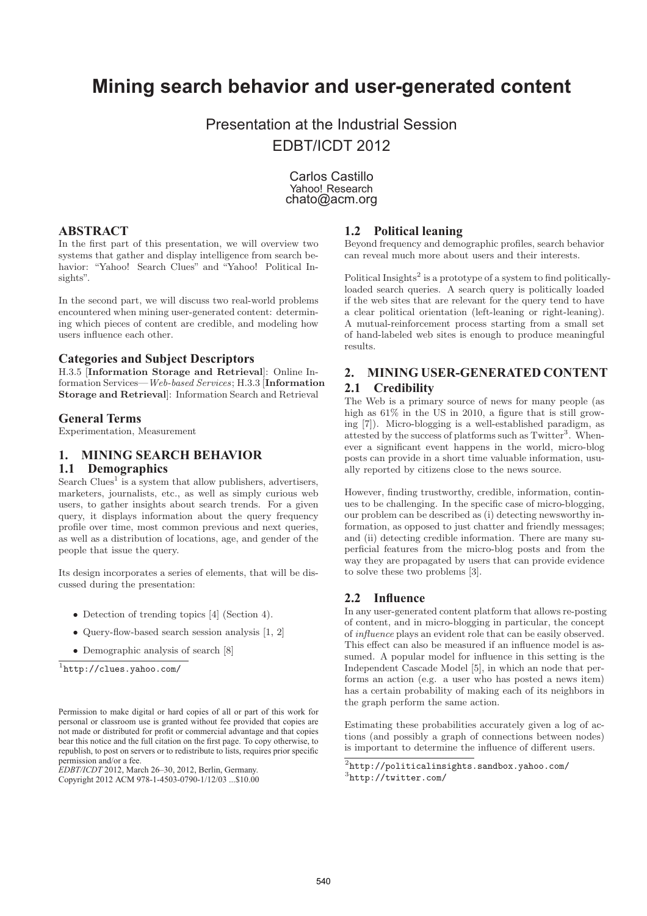# **Mining search behavior and user-generated content**

Presentation at the Industrial Session EDBT/ICDT 2012

> Carlos Castillo Yahoo! Research chato@acm.org

# **ABSTRACT**

In the first part of this presentation, we will overview two systems that gather and display intelligence from search behavior: "Yahoo! Search Clues" and "Yahoo! Political Insights".

In the second part, we will discuss two real-world problems encountered when mining user-generated content: determining which pieces of content are credible, and modeling how users influence each other.

#### **Categories and Subject Descriptors**

H.3.5 [**Information Storage and Retrieval**]: Online Information Services—Web-based Services; H.3.3 [**Information Storage and Retrieval**]: Information Search and Retrieval

#### **General Terms**

Experimentation, Measurement

# **1. MINING SEARCH BEHAVIOR**

## **1.1 Demographics**

Search Clues<sup>1</sup> is a system that allow publishers, advertisers, marketers, journalists, etc., as well as simply curious web users, to gather insights about search trends. For a given query, it displays information about the query frequency profile over time, most common previous and next queries, as well as a distribution of locations, age, and gender of the people that issue the query.

Its design incorporates a series of elements, that will be discussed during the presentation:

- Detection of trending topics [4] (Section 4).
- Query-flow-based search session analysis [1, 2]
- Demographic analysis of search [8]

 $1$ http://clues.yahoo.com/

#### **1.2 Political leaning**

Beyond frequency and demographic profiles, search behavior can reveal much more about users and their interests.

Political Insights<sup>2</sup> is a prototype of a system to find politicallyloaded search queries. A search query is politically loaded if the web sites that are relevant for the query tend to have a clear political orientation (left-leaning or right-leaning). A mutual-reinforcement process starting from a small set of hand-labeled web sites is enough to produce meaningful results.

# **2. MINING USER-GENERATED CONTENT 2.1 Credibility**

The Web is a primary source of news for many people (as high as  $61\%$  in the US in 2010, a figure that is still growing [7]). Micro-blogging is a well-established paradigm, as attested by the success of platforms such as  $Twitter<sup>3</sup>$ . Whenever a significant event happens in the world, micro-blog posts can provide in a short time valuable information, usually reported by citizens close to the news source.

However, finding trustworthy, credible, information, continues to be challenging. In the specific case of micro-blogging, our problem can be described as (i) detecting newsworthy information, as opposed to just chatter and friendly messages; and (ii) detecting credible information. There are many superficial features from the micro-blog posts and from the way they are propagated by users that can provide evidence to solve these two problems [3].

#### **2.2 Influence**

In any user-generated content platform that allows re-posting of content, and in micro-blogging in particular, the concept of influence plays an evident role that can be easily observed. This effect can also be measured if an influence model is assumed. A popular model for influence in this setting is the Independent Cascade Model [5], in which an node that performs an action (e.g. a user who has posted a news item) has a certain probability of making each of its neighbors in the graph perform the same action.

Estimating these probabilities accurately given a log of actions (and possibly a graph of connections between nodes) is important to determine the influence of different users.

Permission to make digital or hard copies of all or part of this work for personal or classroom use is granted without fee provided that copies are not made or distributed for profit or commercial advantage and that copies bear this notice and the full citation on the first page. To copy otherwise, to republish, to post on servers or to redistribute to lists, requires prior specific permission and/or a fee.

*EDBT/ICDT* 2012, March 26–30, 2012, Berlin, Germany.

Copyright 2012 ACM 978-1-4503-0790-1/12/03 ...\$10.00

 $2$ http://politicalinsights.sandbox.yahoo.com/

<sup>3</sup>http://twitter.com/